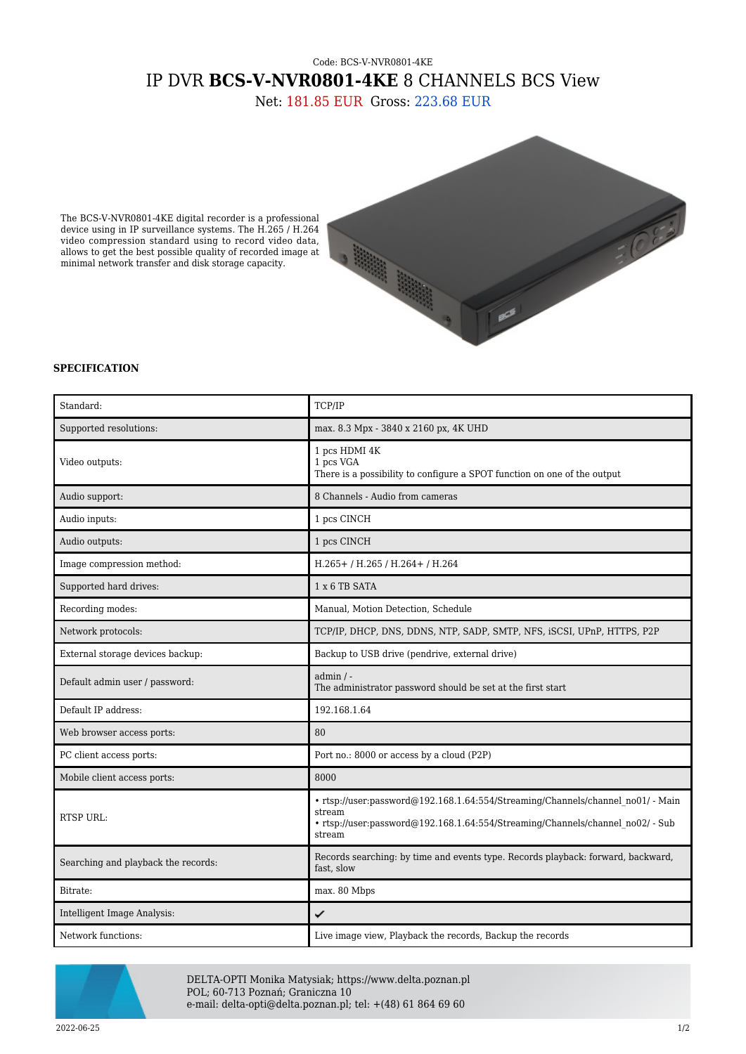## Code: BCS-V-NVR0801-4KE IP DVR **BCS-V-NVR0801-4KE** 8 CHANNELS BCS View

Net: 181.85 EUR Gross: 223.68 EUR

The BCS-V-NVR0801-4KE digital recorder is a professional device using in IP surveillance systems. The H.265 / H.264 video compression standard using to record video data, allows to get the best possible quality of recorded image at minimal network transfer and disk storage capacity.



## **SPECIFICATION**

| Standard:                           | TCP/IP                                                                                                                                                                                |
|-------------------------------------|---------------------------------------------------------------------------------------------------------------------------------------------------------------------------------------|
| Supported resolutions:              | max. 8.3 Mpx - 3840 x 2160 px, 4K UHD                                                                                                                                                 |
|                                     |                                                                                                                                                                                       |
| Video outputs:                      | 1 pcs HDMI 4K<br>1 pcs VGA<br>There is a possibility to configure a SPOT function on one of the output                                                                                |
| Audio support:                      | 8 Channels - Audio from cameras                                                                                                                                                       |
| Audio inputs:                       | 1 pcs CINCH                                                                                                                                                                           |
| Audio outputs:                      | 1 pcs CINCH                                                                                                                                                                           |
| Image compression method:           | H.265+ / H.265 / H.264+ / H.264                                                                                                                                                       |
| Supported hard drives:              | 1 x 6 TB SATA                                                                                                                                                                         |
| Recording modes:                    | Manual, Motion Detection, Schedule                                                                                                                                                    |
| Network protocols:                  | TCP/IP, DHCP, DNS, DDNS, NTP, SADP, SMTP, NFS, iSCSI, UPnP, HTTPS, P2P                                                                                                                |
| External storage devices backup:    | Backup to USB drive (pendrive, external drive)                                                                                                                                        |
| Default admin user / password:      | $admin / -$<br>The administrator password should be set at the first start                                                                                                            |
| Default IP address:                 | 192.168.1.64                                                                                                                                                                          |
| Web browser access ports:           | 80                                                                                                                                                                                    |
| PC client access ports:             | Port no.: 8000 or access by a cloud (P2P)                                                                                                                                             |
| Mobile client access ports:         | 8000                                                                                                                                                                                  |
| <b>RTSP URL:</b>                    | · rtsp://user:password@192.168.1.64:554/Streaming/Channels/channel no01/ - Main<br>stream<br>• rtsp://user:password@192.168.1.64:554/Streaming/Channels/channel no02/ - Sub<br>stream |
| Searching and playback the records: | Records searching: by time and events type. Records playback: forward, backward,<br>fast, slow                                                                                        |
| Bitrate:                            | max. 80 Mbps                                                                                                                                                                          |
| Intelligent Image Analysis:         | ✓                                                                                                                                                                                     |
| Network functions:                  | Live image view, Playback the records, Backup the records                                                                                                                             |



DELTA-OPTI Monika Matysiak; https://www.delta.poznan.pl POL; 60-713 Poznań; Graniczna 10 e-mail: delta-opti@delta.poznan.pl; tel: +(48) 61 864 69 60